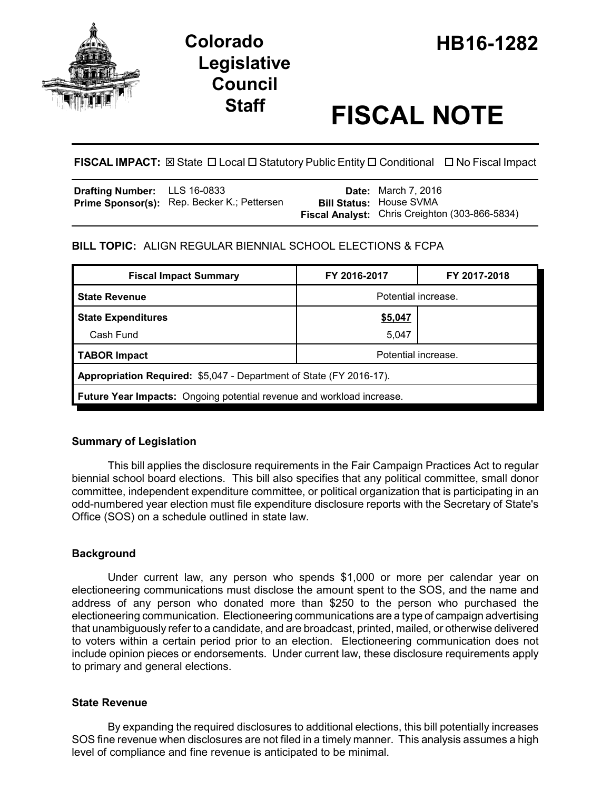

# **Legislative Council**

# **Staff FISCAL NOTE**

**FISCAL IMPACT:** ⊠ State **D** Local **D** Statutory Public Entity **D** Conditional **D** No Fiscal Impact

| <b>Drafting Number:</b> LLS 16-0833 |                                             | <b>Date:</b> March 7, 2016                     |
|-------------------------------------|---------------------------------------------|------------------------------------------------|
|                                     | Prime Sponsor(s): Rep. Becker K.; Pettersen | <b>Bill Status: House SVMA</b>                 |
|                                     |                                             | Fiscal Analyst: Chris Creighton (303-866-5834) |

# **BILL TOPIC:** ALIGN REGULAR BIENNIAL SCHOOL ELECTIONS & FCPA

| <b>Fiscal Impact Summary</b>                                          | FY 2016-2017        | FY 2017-2018 |  |  |  |
|-----------------------------------------------------------------------|---------------------|--------------|--|--|--|
| <b>State Revenue</b>                                                  | Potential increase. |              |  |  |  |
| <b>State Expenditures</b>                                             | <u>\$5,047</u>      |              |  |  |  |
| Cash Fund                                                             | 5,047               |              |  |  |  |
| <b>TABOR Impact</b>                                                   | Potential increase. |              |  |  |  |
| Appropriation Required: \$5,047 - Department of State (FY 2016-17).   |                     |              |  |  |  |
| Future Year Impacts: Ongoing potential revenue and workload increase. |                     |              |  |  |  |

# **Summary of Legislation**

This bill applies the disclosure requirements in the Fair Campaign Practices Act to regular biennial school board elections. This bill also specifies that any political committee, small donor committee, independent expenditure committee, or political organization that is participating in an odd-numbered year election must file expenditure disclosure reports with the Secretary of State's Office (SOS) on a schedule outlined in state law.

## **Background**

Under current law, any person who spends \$1,000 or more per calendar year on electioneering communications must disclose the amount spent to the SOS, and the name and address of any person who donated more than \$250 to the person who purchased the electioneering communication. Electioneering communications are a type of campaign advertising that unambiguously refer to a candidate, and are broadcast, printed, mailed, or otherwise delivered to voters within a certain period prior to an election. Electioneering communication does not include opinion pieces or endorsements. Under current law, these disclosure requirements apply to primary and general elections.

## **State Revenue**

By expanding the required disclosures to additional elections, this bill potentially increases SOS fine revenue when disclosures are not filed in a timely manner. This analysis assumes a high level of compliance and fine revenue is anticipated to be minimal.